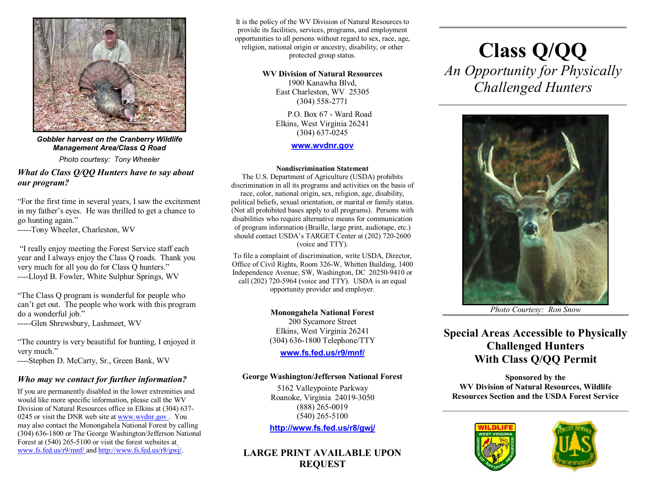

*Gobbler harvest on the Cranberry Wildlife Management Area/Class Q Road*

*Photo courtesy: Tony Wheeler*

*What do Class Q/QQ Hunters have to say about our program?*

"For the first time in several years, I saw the excitement in my father's eyes. He was thrilled to get a chance to go hunting again." -----Tony Wheeler, Charleston, WV

"I really enjoy meeting the Forest Service staff each year and I always enjoy the Class Q roads. Thank you very much for all you do for Class Q hunters." Lloyd B. Fowler, White Sulphur Springs, WV

"The Class Q program is wonderful for people who can't get out. The people who work with this program do a wonderful job." -----Glen Shrewsbury, Lashmeet, WV

"The country is very beautiful for hunting, I enjoyed it very much." ----Stephen D. McCarty, Sr., Green Bank, WV

## *Who may we contact for further information?*

If you are permanently disabled in the lower extremities and would like more specific information, please call the WV Division of Natural Resources office in Elkins at (304) 637 0245 or visit the DNR web site at [www.wvdnr.gov](http://www.wvdnr.gov/) . You may also contact the Monongahela National Forest by calling (304) 636-1800 or The George Washington/Jefferson National Forest at  $(540)$  265-5100 or visit the forest websites at [www.fs.fed.us/r9/mnf/](http://www.fs.fed.us/r9/mnf/) and [http://www.fs.fed.us/r8/gwj/.](http://www.fs.fed.us/r8/gwj/)

It is the policy of the WV Division of Natural Resources to provide its facilities, services, programs, and employment opportunities to all persons without regard to sex, race, age, religion, national origin or ancestry, disability, or other protected group status.

**WV Division of Natural Resources**

1900 Kanawha Blvd, East Charleston, WV 25305  $(304) 558 - 2771$ 

P.O. Box 67 - Ward Road Elkins, West Virginia 26241  $(304)$  637-0245

**[www.wvdnr.gov](http://www.wvdnr.gov/)**

#### **Nondiscrimination Statement**

The U.S. Department of Agriculture (USDA) prohibits discrimination in all its programs and activities on the basis of race, color, national origin, sex, religion, age, disability, political beliefs, sexual orientation, or marital or family status. (Not all prohibited bases apply to all programs). Persons with disabilities who require alternative means for communication of program information (Braille, large print, audiotape, etc.) should contact USDA's TARGET Center at (202) 720-2600 (voice and TTY).

To file a complaint of discrimination, write USDA, Director, Office of Civil Rights, Room 326-W, Whitten Building, 1400 Independence Avenue, SW, Washington, DC 20250-9410 or call  $(202)$  720-5964 (voice and TTY). USDA is an equal opportunity provider and employer.

> **Monongahela National Forest** 200 Sycamore Street Elkins, West Virginia 26241

> (304) 6361800 Telephone/TTY

**[www.fs.fed.us/r9/mnf/](http://www.fs.fed.us/r9/mnf/)**

## **George Washington/Jefferson National Forest**

5162 Valleypointe Parkway Roanoke, Virginia 24019-3050  $(888)$  265-0019  $(540)$  265-5100

**<http://www.fs.fed.us/r8/gwj/>**

**LARGE PRINT AVAILABLE UPON REQUEST** 

# **Class Q/QQ** *An Opportunity for Physically Challenged Hunters*



*Photo Courtesy: Ron Snow*

**Special Areas Accessible to Physically Challenged Hunters With Class Q/QQ Permit** 

**Sponsored by the WV Division of Natural Resources, Wildlife Resources Section and the USDA Forest Service**